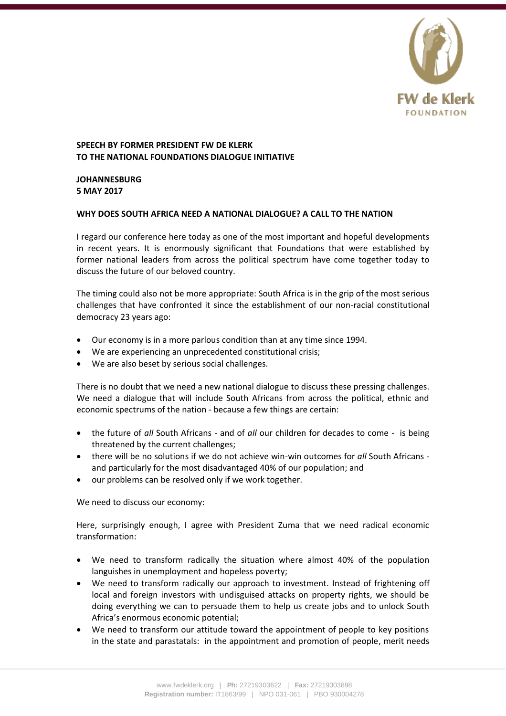

## **SPEECH BY FORMER PRESIDENT FW DE KLERK TO THE NATIONAL FOUNDATIONS DIALOGUE INITIATIVE**

**JOHANNESBURG 5 MAY 2017**

## **WHY DOES SOUTH AFRICA NEED A NATIONAL DIALOGUE? A CALL TO THE NATION**

I regard our conference here today as one of the most important and hopeful developments in recent years. It is enormously significant that Foundations that were established by former national leaders from across the political spectrum have come together today to discuss the future of our beloved country.

The timing could also not be more appropriate: South Africa is in the grip of the most serious challenges that have confronted it since the establishment of our non-racial constitutional democracy 23 years ago:

- Our economy is in a more parlous condition than at any time since 1994.
- We are experiencing an unprecedented constitutional crisis;
- We are also beset by serious social challenges.

There is no doubt that we need a new national dialogue to discuss these pressing challenges. We need a dialogue that will include South Africans from across the political, ethnic and economic spectrums of the nation - because a few things are certain:

- the future of *all* South Africans and of *all* our children for decades to come is being threatened by the current challenges;
- there will be no solutions if we do not achieve win-win outcomes for *all* South Africans and particularly for the most disadvantaged 40% of our population; and
- our problems can be resolved only if we work together.

We need to discuss our economy:

Here, surprisingly enough, I agree with President Zuma that we need radical economic transformation:

- We need to transform radically the situation where almost 40% of the population languishes in unemployment and hopeless poverty;
- We need to transform radically our approach to investment. Instead of frightening off local and foreign investors with undisguised attacks on property rights, we should be doing everything we can to persuade them to help us create jobs and to unlock South Africa's enormous economic potential;
- We need to transform our attitude toward the appointment of people to key positions in the state and parastatals: in the appointment and promotion of people, merit needs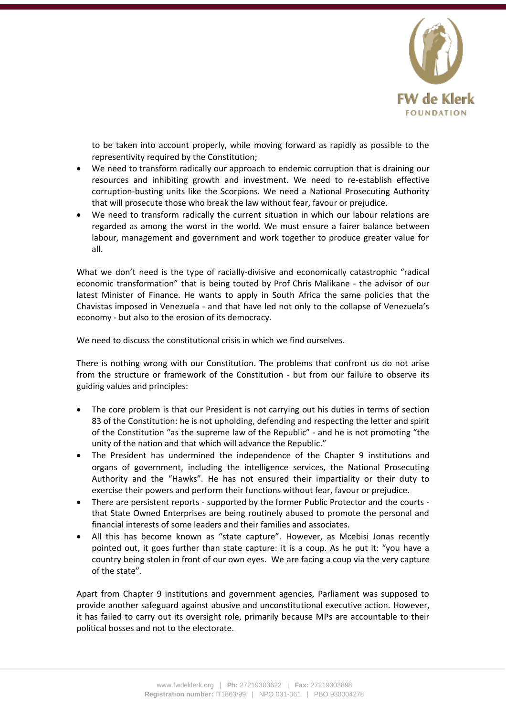

to be taken into account properly, while moving forward as rapidly as possible to the representivity required by the Constitution;

- We need to transform radically our approach to endemic corruption that is draining our resources and inhibiting growth and investment. We need to re-establish effective corruption-busting units like the Scorpions. We need a National Prosecuting Authority that will prosecute those who break the law without fear, favour or prejudice.
- We need to transform radically the current situation in which our labour relations are regarded as among the worst in the world. We must ensure a fairer balance between labour, management and government and work together to produce greater value for all.

What we don't need is the type of racially-divisive and economically catastrophic "radical economic transformation" that is being touted by Prof Chris Malikane - the advisor of our latest Minister of Finance. He wants to apply in South Africa the same policies that the Chavistas imposed in Venezuela - and that have led not only to the collapse of Venezuela's economy - but also to the erosion of its democracy.

We need to discuss the constitutional crisis in which we find ourselves.

There is nothing wrong with our Constitution. The problems that confront us do not arise from the structure or framework of the Constitution - but from our failure to observe its guiding values and principles:

- The core problem is that our President is not carrying out his duties in terms of section 83 of the Constitution: he is not upholding, defending and respecting the letter and spirit of the Constitution "as the supreme law of the Republic" - and he is not promoting "the unity of the nation and that which will advance the Republic."
- The President has undermined the independence of the Chapter 9 institutions and organs of government, including the intelligence services, the National Prosecuting Authority and the "Hawks". He has not ensured their impartiality or their duty to exercise their powers and perform their functions without fear, favour or prejudice.
- There are persistent reports supported by the former Public Protector and the courts that State Owned Enterprises are being routinely abused to promote the personal and financial interests of some leaders and their families and associates.
- All this has become known as "state capture". However, as Mcebisi Jonas recently pointed out, it goes further than state capture: it is a coup. As he put it: "you have a country being stolen in front of our own eyes. We are facing a coup via the very capture of the state".

Apart from Chapter 9 institutions and government agencies, Parliament was supposed to provide another safeguard against abusive and unconstitutional executive action. However, it has failed to carry out its oversight role, primarily because MPs are accountable to their political bosses and not to the electorate.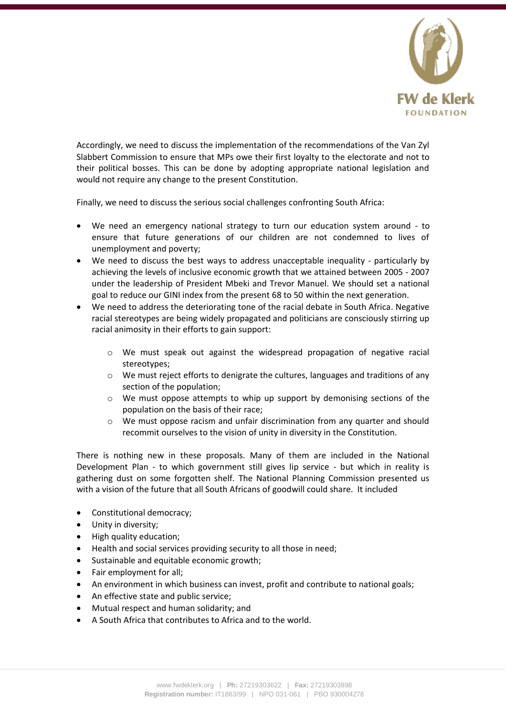

Accordingly, we need to discuss the implementation of the recommendations of the Van Zyl Slabbert Commission to ensure that MPs owe their first loyalty to the electorate and not to their political bosses. This can be done by adopting appropriate national legislation and would not require any change to the present Constitution.

Finally, we need to discuss the serious social challenges confronting South Africa:

- We need an emergency national strategy to turn our education system around to ensure that future generations of our children are not condemned to lives of unemployment and poverty;
- We need to discuss the best ways to address unacceptable inequality particularly by achieving the levels of inclusive economic growth that we attained between 2005 - 2007 under the leadership of President Mbeki and Trevor Manuel. We should set a national goal to reduce our GINI index from the present 68 to 50 within the next generation.
- We need to address the deteriorating tone of the racial debate in South Africa. Negative racial stereotypes are being widely propagated and politicians are consciously stirring up racial animosity in their efforts to gain support:
	- o We must speak out against the widespread propagation of negative racial stereotypes;
	- o We must reject efforts to denigrate the cultures, languages and traditions of any section of the population;
	- $\circ$  We must oppose attempts to whip up support by demonising sections of the population on the basis of their race;
	- o We must oppose racism and unfair discrimination from any quarter and should recommit ourselves to the vision of unity in diversity in the Constitution.

There is nothing new in these proposals. Many of them are included in the National Development Plan - to which government still gives lip service - but which in reality is gathering dust on some forgotten shelf. The National Planning Commission presented us with a vision of the future that all South Africans of goodwill could share. It included

- Constitutional democracy;
- Unity in diversity;
- High quality education;
- Health and social services providing security to all those in need;
- Sustainable and equitable economic growth;
- Fair employment for all;
- An environment in which business can invest, profit and contribute to national goals;
- An effective state and public service;
- Mutual respect and human solidarity; and
- A South Africa that contributes to Africa and to the world.